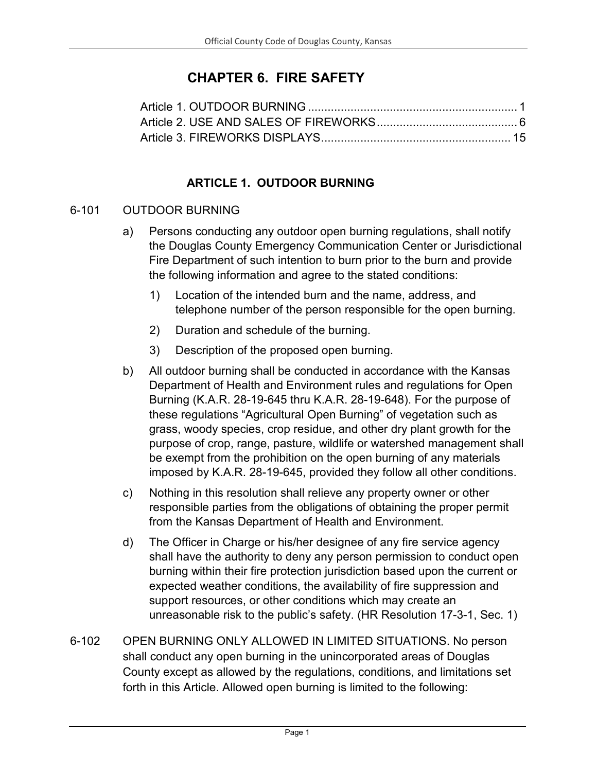# **CHAPTER 6. FIRE SAFETY**

## **ARTICLE 1. OUTDOOR BURNING**

#### <span id="page-0-0"></span>6-101 OUTDOOR BURNING

- a) Persons conducting any outdoor open burning regulations, shall notify the Douglas County Emergency Communication Center or Jurisdictional Fire Department of such intention to burn prior to the burn and provide the following information and agree to the stated conditions:
	- 1) Location of the intended burn and the name, address, and telephone number of the person responsible for the open burning.
	- 2) Duration and schedule of the burning.
	- 3) Description of the proposed open burning.
- b) All outdoor burning shall be conducted in accordance with the Kansas Department of Health and Environment rules and regulations for Open Burning (K.A.R. 28-19-645 thru K.A.R. 28-19-648). For the purpose of these regulations "Agricultural Open Burning" of vegetation such as grass, woody species, crop residue, and other dry plant growth for the purpose of crop, range, pasture, wildlife or watershed management shall be exempt from the prohibition on the open burning of any materials imposed by K.A.R. 28-19-645, provided they follow all other conditions.
- c) Nothing in this resolution shall relieve any property owner or other responsible parties from the obligations of obtaining the proper permit from the Kansas Department of Health and Environment.
- d) The Officer in Charge or his/her designee of any fire service agency shall have the authority to deny any person permission to conduct open burning within their fire protection jurisdiction based upon the current or expected weather conditions, the availability of fire suppression and support resources, or other conditions which may create an unreasonable risk to the public's safety. (HR Resolution 17-3-1, Sec. 1)
- 6-102 OPEN BURNING ONLY ALLOWED IN LIMITED SITUATIONS. No person shall conduct any open burning in the unincorporated areas of Douglas County except as allowed by the regulations, conditions, and limitations set forth in this Article. Allowed open burning is limited to the following: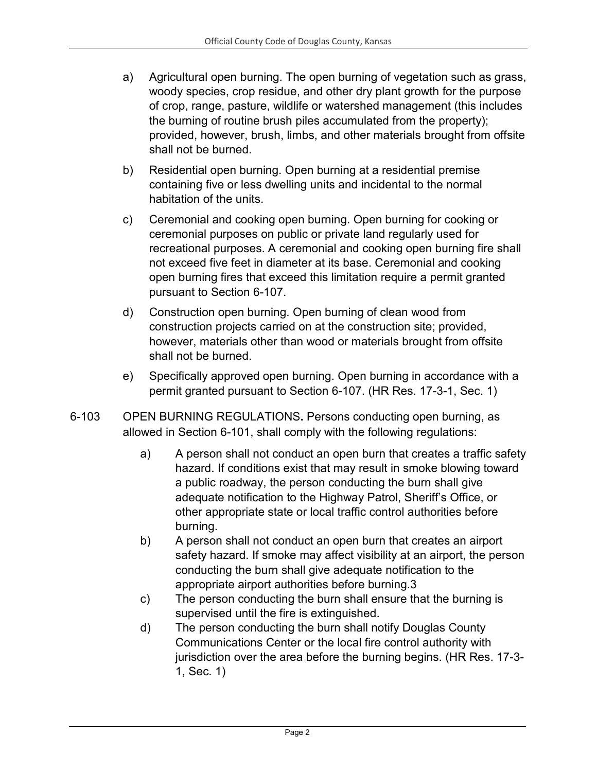- a) Agricultural open burning. The open burning of vegetation such as grass, woody species, crop residue, and other dry plant growth for the purpose of crop, range, pasture, wildlife or watershed management (this includes the burning of routine brush piles accumulated from the property); provided, however, brush, limbs, and other materials brought from offsite shall not be burned.
- b) Residential open burning. Open burning at a residential premise containing five or less dwelling units and incidental to the normal habitation of the units.
- c) Ceremonial and cooking open burning. Open burning for cooking or ceremonial purposes on public or private land regularly used for recreational purposes. A ceremonial and cooking open burning fire shall not exceed five feet in diameter at its base. Ceremonial and cooking open burning fires that exceed this limitation require a permit granted pursuant to Section 6-107.
- d) Construction open burning. Open burning of clean wood from construction projects carried on at the construction site; provided, however, materials other than wood or materials brought from offsite shall not be burned.
- e) Specifically approved open burning. Open burning in accordance with a permit granted pursuant to Section 6-107. (HR Res. 17-3-1, Sec. 1)
- 6-103 OPEN BURNING REGULATIONS**.** Persons conducting open burning, as allowed in Section 6-101, shall comply with the following regulations:
	- a) A person shall not conduct an open burn that creates a traffic safety hazard. If conditions exist that may result in smoke blowing toward a public roadway, the person conducting the burn shall give adequate notification to the Highway Patrol, Sheriff's Office, or other appropriate state or local traffic control authorities before burning.
	- b) A person shall not conduct an open burn that creates an airport safety hazard. If smoke may affect visibility at an airport, the person conducting the burn shall give adequate notification to the appropriate airport authorities before burning.3
	- c) The person conducting the burn shall ensure that the burning is supervised until the fire is extinguished.
	- d) The person conducting the burn shall notify Douglas County Communications Center or the local fire control authority with jurisdiction over the area before the burning begins. (HR Res. 17-3- 1, Sec. 1)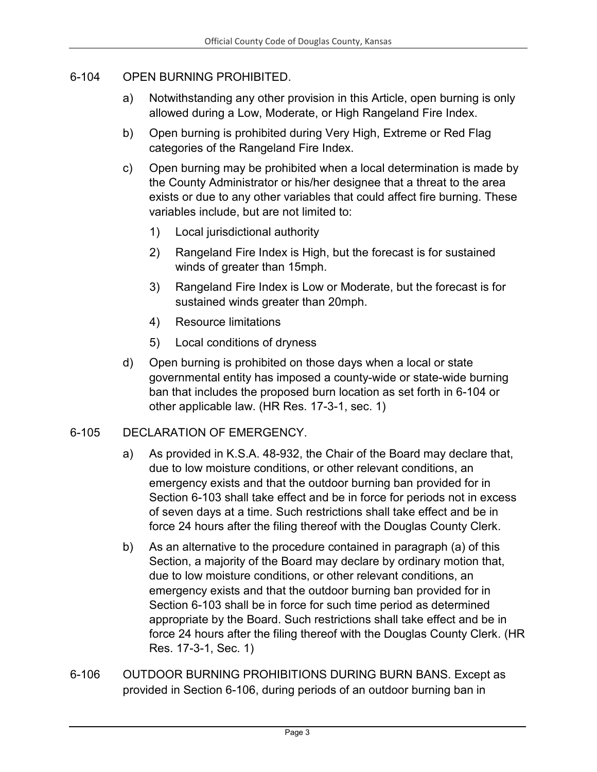#### 6-104 OPEN BURNING PROHIBITED.

- a) Notwithstanding any other provision in this Article, open burning is only allowed during a Low, Moderate, or High Rangeland Fire Index.
- b) Open burning is prohibited during Very High, Extreme or Red Flag categories of the Rangeland Fire Index.
- c) Open burning may be prohibited when a local determination is made by the County Administrator or his/her designee that a threat to the area exists or due to any other variables that could affect fire burning. These variables include, but are not limited to:
	- 1) Local jurisdictional authority
	- 2) Rangeland Fire Index is High, but the forecast is for sustained winds of greater than 15mph.
	- 3) Rangeland Fire Index is Low or Moderate, but the forecast is for sustained winds greater than 20mph.
	- 4) Resource limitations
	- 5) Local conditions of dryness
- d) Open burning is prohibited on those days when a local or state governmental entity has imposed a county-wide or state-wide burning ban that includes the proposed burn location as set forth in 6-104 or other applicable law. (HR Res. 17-3-1, sec. 1)

#### 6-105 DECLARATION OF EMERGENCY.

- a) As provided in K.S.A. 48-932, the Chair of the Board may declare that, due to low moisture conditions, or other relevant conditions, an emergency exists and that the outdoor burning ban provided for in Section 6-103 shall take effect and be in force for periods not in excess of seven days at a time. Such restrictions shall take effect and be in force 24 hours after the filing thereof with the Douglas County Clerk.
- b) As an alternative to the procedure contained in paragraph (a) of this Section, a majority of the Board may declare by ordinary motion that, due to low moisture conditions, or other relevant conditions, an emergency exists and that the outdoor burning ban provided for in Section 6-103 shall be in force for such time period as determined appropriate by the Board. Such restrictions shall take effect and be in force 24 hours after the filing thereof with the Douglas County Clerk. (HR Res. 17-3-1, Sec. 1)
- 6-106 OUTDOOR BURNING PROHIBITIONS DURING BURN BANS. Except as provided in Section 6-106, during periods of an outdoor burning ban in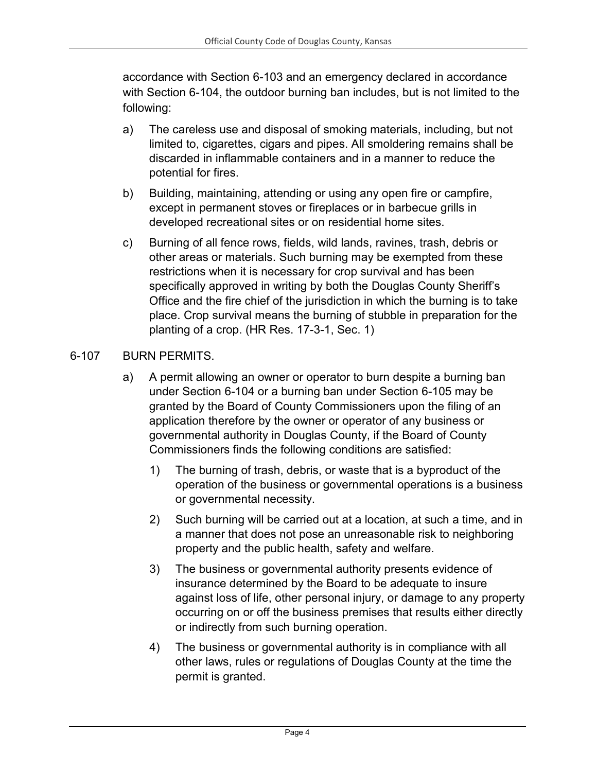accordance with Section 6-103 and an emergency declared in accordance with Section 6-104, the outdoor burning ban includes, but is not limited to the following:

- a) The careless use and disposal of smoking materials, including, but not limited to, cigarettes, cigars and pipes. All smoldering remains shall be discarded in inflammable containers and in a manner to reduce the potential for fires.
- b) Building, maintaining, attending or using any open fire or campfire, except in permanent stoves or fireplaces or in barbecue grills in developed recreational sites or on residential home sites.
- c) Burning of all fence rows, fields, wild lands, ravines, trash, debris or other areas or materials. Such burning may be exempted from these restrictions when it is necessary for crop survival and has been specifically approved in writing by both the Douglas County Sheriff's Office and the fire chief of the jurisdiction in which the burning is to take place. Crop survival means the burning of stubble in preparation for the planting of a crop. (HR Res. 17-3-1, Sec. 1)

## 6-107 BURN PERMITS.

- a) A permit allowing an owner or operator to burn despite a burning ban under Section 6-104 or a burning ban under Section 6-105 may be granted by the Board of County Commissioners upon the filing of an application therefore by the owner or operator of any business or governmental authority in Douglas County, if the Board of County Commissioners finds the following conditions are satisfied:
	- 1) The burning of trash, debris, or waste that is a byproduct of the operation of the business or governmental operations is a business or governmental necessity.
	- 2) Such burning will be carried out at a location, at such a time, and in a manner that does not pose an unreasonable risk to neighboring property and the public health, safety and welfare.
	- 3) The business or governmental authority presents evidence of insurance determined by the Board to be adequate to insure against loss of life, other personal injury, or damage to any property occurring on or off the business premises that results either directly or indirectly from such burning operation.
	- 4) The business or governmental authority is in compliance with all other laws, rules or regulations of Douglas County at the time the permit is granted.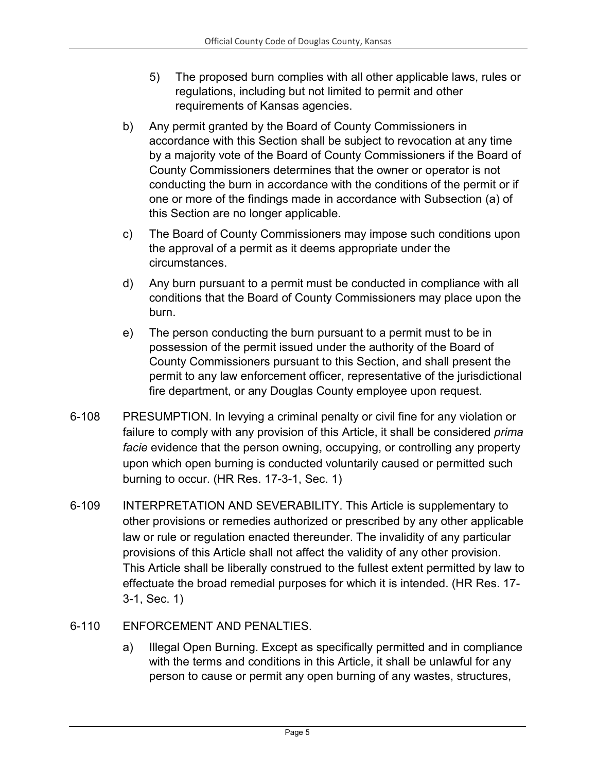- 5) The proposed burn complies with all other applicable laws, rules or regulations, including but not limited to permit and other requirements of Kansas agencies.
- b) Any permit granted by the Board of County Commissioners in accordance with this Section shall be subject to revocation at any time by a majority vote of the Board of County Commissioners if the Board of County Commissioners determines that the owner or operator is not conducting the burn in accordance with the conditions of the permit or if one or more of the findings made in accordance with Subsection (a) of this Section are no longer applicable.
- c) The Board of County Commissioners may impose such conditions upon the approval of a permit as it deems appropriate under the circumstances.
- d) Any burn pursuant to a permit must be conducted in compliance with all conditions that the Board of County Commissioners may place upon the burn.
- e) The person conducting the burn pursuant to a permit must to be in possession of the permit issued under the authority of the Board of County Commissioners pursuant to this Section, and shall present the permit to any law enforcement officer, representative of the jurisdictional fire department, or any Douglas County employee upon request.
- 6-108 PRESUMPTION. In levying a criminal penalty or civil fine for any violation or failure to comply with any provision of this Article, it shall be considered *prima facie* evidence that the person owning, occupying, or controlling any property upon which open burning is conducted voluntarily caused or permitted such burning to occur. (HR Res. 17-3-1, Sec. 1)
- 6-109 INTERPRETATION AND SEVERABILITY. This Article is supplementary to other provisions or remedies authorized or prescribed by any other applicable law or rule or regulation enacted thereunder. The invalidity of any particular provisions of this Article shall not affect the validity of any other provision. This Article shall be liberally construed to the fullest extent permitted by law to effectuate the broad remedial purposes for which it is intended. (HR Res. 17- 3-1, Sec. 1)
- 6-110 ENFORCEMENT AND PENALTIES.
	- a) Illegal Open Burning. Except as specifically permitted and in compliance with the terms and conditions in this Article, it shall be unlawful for any person to cause or permit any open burning of any wastes, structures,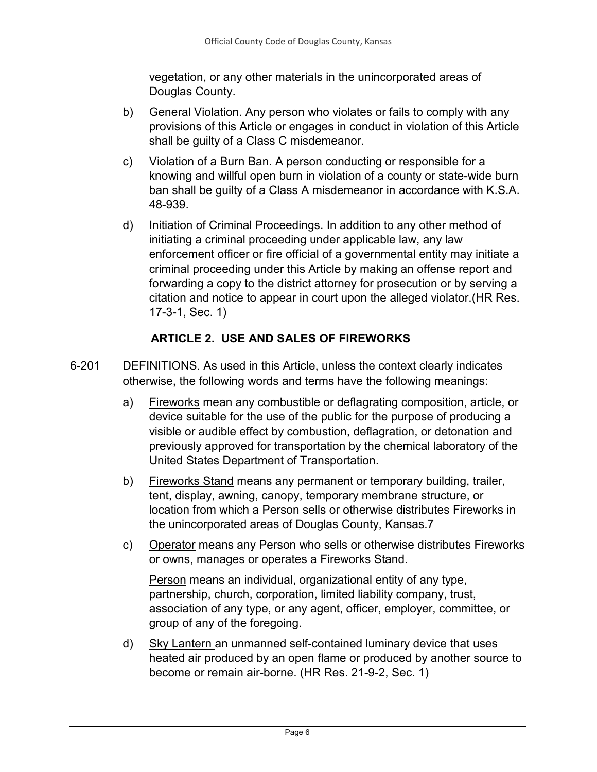vegetation, or any other materials in the unincorporated areas of Douglas County.

- b) General Violation. Any person who violates or fails to comply with any provisions of this Article or engages in conduct in violation of this Article shall be guilty of a Class C misdemeanor.
- c) Violation of a Burn Ban. A person conducting or responsible for a knowing and willful open burn in violation of a county or state-wide burn ban shall be guilty of a Class A misdemeanor in accordance with K.S.A. 48-939.
- d) Initiation of Criminal Proceedings. In addition to any other method of initiating a criminal proceeding under applicable law, any law enforcement officer or fire official of a governmental entity may initiate a criminal proceeding under this Article by making an offense report and forwarding a copy to the district attorney for prosecution or by serving a citation and notice to appear in court upon the alleged violator.(HR Res. 17-3-1, Sec. 1)

### **ARTICLE 2. USE AND SALES OF FIREWORKS**

- <span id="page-5-0"></span>6-201 DEFINITIONS. As used in this Article, unless the context clearly indicates otherwise, the following words and terms have the following meanings:
	- a) Fireworks mean any combustible or deflagrating composition, article, or device suitable for the use of the public for the purpose of producing a visible or audible effect by combustion, deflagration, or detonation and previously approved for transportation by the chemical laboratory of the United States Department of Transportation.
	- b) Fireworks Stand means any permanent or temporary building, trailer, tent, display, awning, canopy, temporary membrane structure, or location from which a Person sells or otherwise distributes Fireworks in the unincorporated areas of Douglas County, Kansas.7
	- c) Operator means any Person who sells or otherwise distributes Fireworks or owns, manages or operates a Fireworks Stand.

Person means an individual, organizational entity of any type, partnership, church, corporation, limited liability company, trust, association of any type, or any agent, officer, employer, committee, or group of any of the foregoing.

d) Sky Lantern an unmanned self-contained luminary device that uses heated air produced by an open flame or produced by another source to become or remain air-borne. (HR Res. 21-9-2, Sec. 1)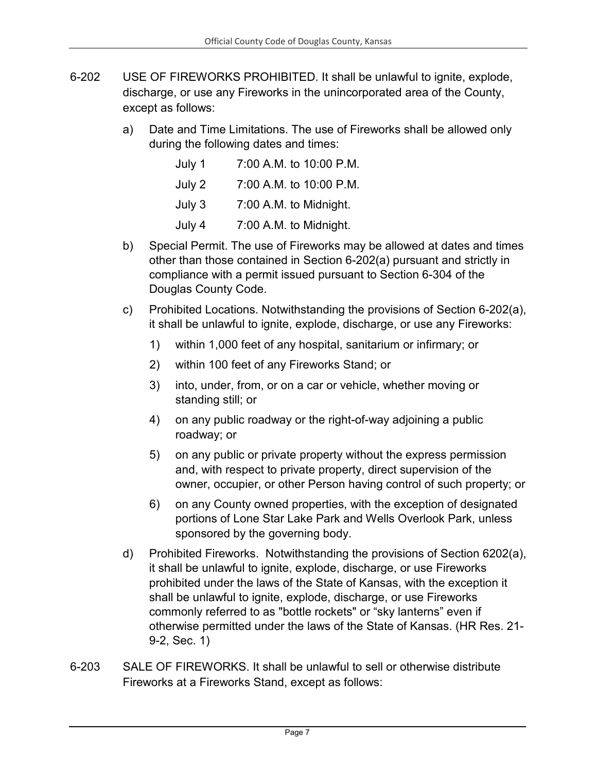- 6-202 USE OF FIREWORKS PROHIBITED. It shall be unlawful to ignite, explode, discharge, or use any Fireworks in the unincorporated area of the County, except as follows:
	- a) Date and Time Limitations. The use of Fireworks shall be allowed only during the following dates and times:

| July 1 | 7:00 A.M. to 10:00 P.M. |
|--------|-------------------------|
| July 2 | 7:00 A.M. to 10:00 P.M. |
| July 3 | 7:00 A.M. to Midnight.  |
| July 4 | 7:00 A.M. to Midnight.  |

- b) Special Permit. The use of Fireworks may be allowed at dates and times other than those contained in Section 6-202(a) pursuant and strictly in compliance with a permit issued pursuant to Section 6-304 of the Douglas County Code.
- c) Prohibited Locations. Notwithstanding the provisions of Section 6-202(a), it shall be unlawful to ignite, explode, discharge, or use any Fireworks:
	- 1) within 1,000 feet of any hospital, sanitarium or infirmary; or
	- 2) within 100 feet of any Fireworks Stand; or
	- 3) into, under, from, or on a car or vehicle, whether moving or standing still; or
	- 4) on any public roadway or the right-of-way adjoining a public roadway; or
	- 5) on any public or private property without the express permission and, with respect to private property, direct supervision of the owner, occupier, or other Person having control of such property; or
	- 6) on any County owned properties, with the exception of designated portions of Lone Star Lake Park and Wells Overlook Park, unless sponsored by the governing body.
- d) Prohibited Fireworks. Notwithstanding the provisions of Section 6202(a), it shall be unlawful to ignite, explode, discharge, or use Fireworks prohibited under the laws of the State of Kansas, with the exception it shall be unlawful to ignite, explode, discharge, or use Fireworks commonly referred to as "bottle rockets" or "sky lanterns" even if otherwise permitted under the laws of the State of Kansas. (HR Res. 21- 9-2, Sec. 1)
- 6-203 SALE OF FIREWORKS. It shall be unlawful to sell or otherwise distribute Fireworks at a Fireworks Stand, except as follows: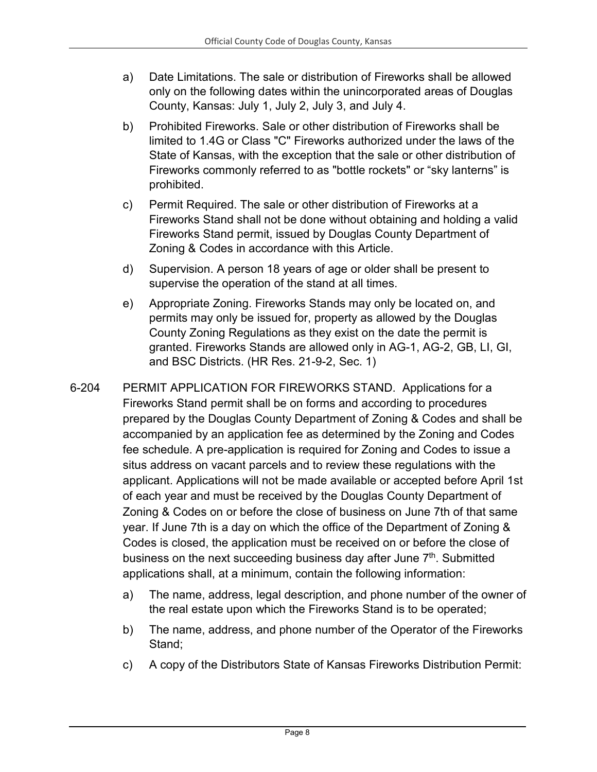- a) Date Limitations. The sale or distribution of Fireworks shall be allowed only on the following dates within the unincorporated areas of Douglas County, Kansas: July 1, July 2, July 3, and July 4.
- b) Prohibited Fireworks. Sale or other distribution of Fireworks shall be limited to 1.4G or Class "C" Fireworks authorized under the laws of the State of Kansas, with the exception that the sale or other distribution of Fireworks commonly referred to as "bottle rockets" or "sky lanterns" is prohibited.
- c) Permit Required. The sale or other distribution of Fireworks at a Fireworks Stand shall not be done without obtaining and holding a valid Fireworks Stand permit, issued by Douglas County Department of Zoning & Codes in accordance with this Article.
- d) Supervision. A person 18 years of age or older shall be present to supervise the operation of the stand at all times.
- e) Appropriate Zoning. Fireworks Stands may only be located on, and permits may only be issued for, property as allowed by the Douglas County Zoning Regulations as they exist on the date the permit is granted. Fireworks Stands are allowed only in AG-1, AG-2, GB, LI, GI, and BSC Districts. (HR Res. 21-9-2, Sec. 1)
- 6-204 PERMIT APPLICATION FOR FIREWORKS STAND. Applications for a Fireworks Stand permit shall be on forms and according to procedures prepared by the Douglas County Department of Zoning & Codes and shall be accompanied by an application fee as determined by the Zoning and Codes fee schedule. A pre-application is required for Zoning and Codes to issue a situs address on vacant parcels and to review these regulations with the applicant. Applications will not be made available or accepted before April 1st of each year and must be received by the Douglas County Department of Zoning & Codes on or before the close of business on June 7th of that same year. If June 7th is a day on which the office of the Department of Zoning & Codes is closed, the application must be received on or before the close of business on the next succeeding business day after June  $7<sup>th</sup>$ . Submitted applications shall, at a minimum, contain the following information:
	- a) The name, address, legal description, and phone number of the owner of the real estate upon which the Fireworks Stand is to be operated;
	- b) The name, address, and phone number of the Operator of the Fireworks Stand;
	- c) A copy of the Distributors State of Kansas Fireworks Distribution Permit: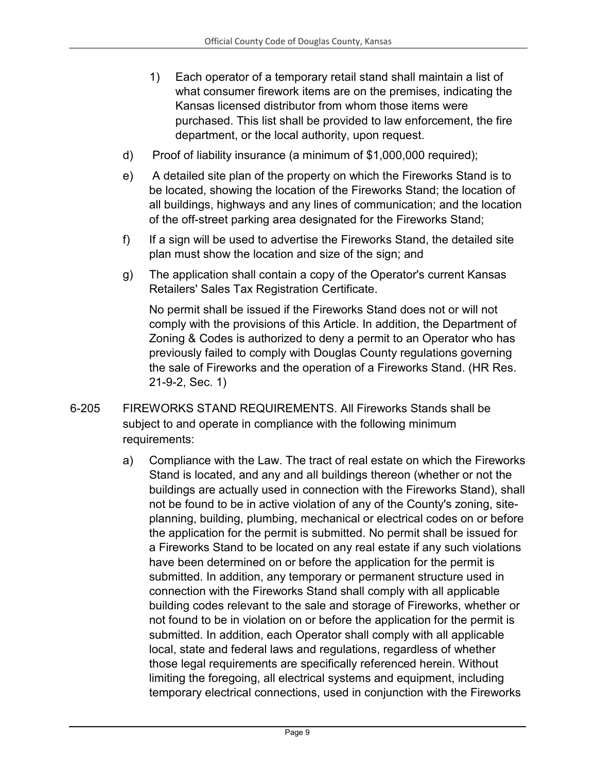- 1) Each operator of a temporary retail stand shall maintain a list of what consumer firework items are on the premises, indicating the Kansas licensed distributor from whom those items were purchased. This list shall be provided to law enforcement, the fire department, or the local authority, upon request.
- d) Proof of liability insurance (a minimum of \$1,000,000 required);
- e) A detailed site plan of the property on which the Fireworks Stand is to be located, showing the location of the Fireworks Stand; the location of all buildings, highways and any lines of communication; and the location of the off-street parking area designated for the Fireworks Stand;
- f) If a sign will be used to advertise the Fireworks Stand, the detailed site plan must show the location and size of the sign; and
- g) The application shall contain a copy of the Operator's current Kansas Retailers' Sales Tax Registration Certificate.

No permit shall be issued if the Fireworks Stand does not or will not comply with the provisions of this Article. In addition, the Department of Zoning & Codes is authorized to deny a permit to an Operator who has previously failed to comply with Douglas County regulations governing the sale of Fireworks and the operation of a Fireworks Stand. (HR Res. 21-9-2, Sec. 1)

- 6-205 FIREWORKS STAND REQUIREMENTS. All Fireworks Stands shall be subject to and operate in compliance with the following minimum requirements:
	- a) Compliance with the Law. The tract of real estate on which the Fireworks Stand is located, and any and all buildings thereon (whether or not the buildings are actually used in connection with the Fireworks Stand), shall not be found to be in active violation of any of the County's zoning, siteplanning, building, plumbing, mechanical or electrical codes on or before the application for the permit is submitted. No permit shall be issued for a Fireworks Stand to be located on any real estate if any such violations have been determined on or before the application for the permit is submitted. In addition, any temporary or permanent structure used in connection with the Fireworks Stand shall comply with all applicable building codes relevant to the sale and storage of Fireworks, whether or not found to be in violation on or before the application for the permit is submitted. In addition, each Operator shall comply with all applicable local, state and federal laws and regulations, regardless of whether those legal requirements are specifically referenced herein. Without limiting the foregoing, all electrical systems and equipment, including temporary electrical connections, used in conjunction with the Fireworks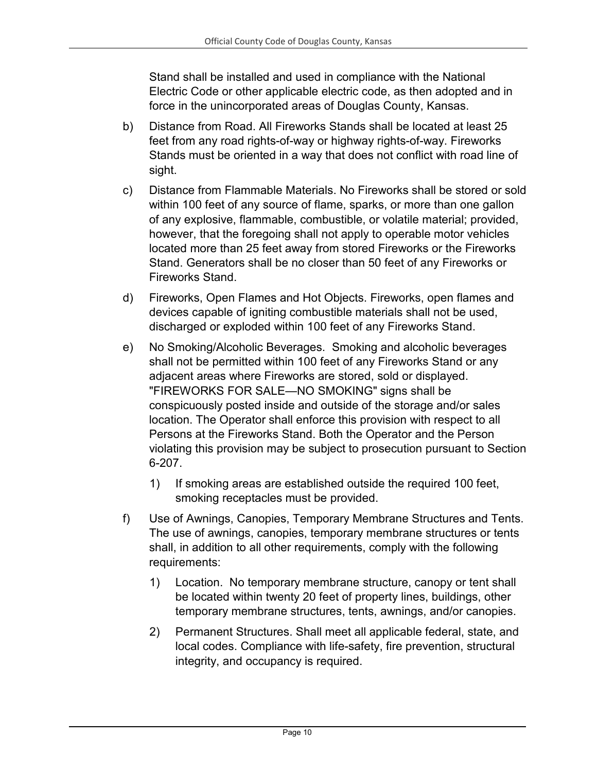Stand shall be installed and used in compliance with the National Electric Code or other applicable electric code, as then adopted and in force in the unincorporated areas of Douglas County, Kansas.

- b) Distance from Road. All Fireworks Stands shall be located at least 25 feet from any road rights-of-way or highway rights-of-way. Fireworks Stands must be oriented in a way that does not conflict with road line of sight.
- c) Distance from Flammable Materials. No Fireworks shall be stored or sold within 100 feet of any source of flame, sparks, or more than one gallon of any explosive, flammable, combustible, or volatile material; provided, however, that the foregoing shall not apply to operable motor vehicles located more than 25 feet away from stored Fireworks or the Fireworks Stand. Generators shall be no closer than 50 feet of any Fireworks or Fireworks Stand.
- d) Fireworks, Open Flames and Hot Objects. Fireworks, open flames and devices capable of igniting combustible materials shall not be used, discharged or exploded within 100 feet of any Fireworks Stand.
- e) No Smoking/Alcoholic Beverages. Smoking and alcoholic beverages shall not be permitted within 100 feet of any Fireworks Stand or any adjacent areas where Fireworks are stored, sold or displayed. "FIREWORKS FOR SALE—NO SMOKING" signs shall be conspicuously posted inside and outside of the storage and/or sales location. The Operator shall enforce this provision with respect to all Persons at the Fireworks Stand. Both the Operator and the Person violating this provision may be subject to prosecution pursuant to Section 6-207.
	- 1) If smoking areas are established outside the required 100 feet, smoking receptacles must be provided.
- f) Use of Awnings, Canopies, Temporary Membrane Structures and Tents. The use of awnings, canopies, temporary membrane structures or tents shall, in addition to all other requirements, comply with the following requirements:
	- 1) Location. No temporary membrane structure, canopy or tent shall be located within twenty 20 feet of property lines, buildings, other temporary membrane structures, tents, awnings, and/or canopies.
	- 2) Permanent Structures. Shall meet all applicable federal, state, and local codes. Compliance with life-safety, fire prevention, structural integrity, and occupancy is required.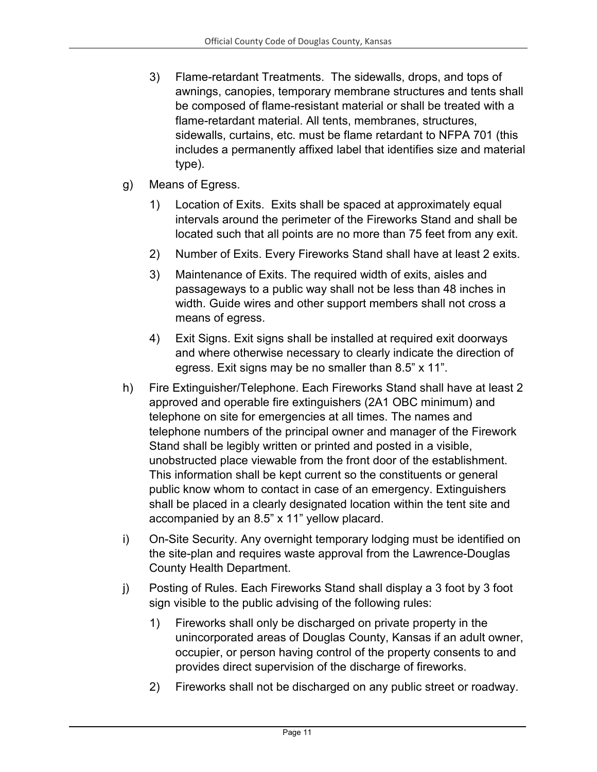- 3) Flame-retardant Treatments. The sidewalls, drops, and tops of awnings, canopies, temporary membrane structures and tents shall be composed of flame-resistant material or shall be treated with a flame-retardant material. All tents, membranes, structures, sidewalls, curtains, etc. must be flame retardant to NFPA 701 (this includes a permanently affixed label that identifies size and material type).
- g) Means of Egress.
	- 1) Location of Exits. Exits shall be spaced at approximately equal intervals around the perimeter of the Fireworks Stand and shall be located such that all points are no more than 75 feet from any exit.
	- 2) Number of Exits. Every Fireworks Stand shall have at least 2 exits.
	- 3) Maintenance of Exits. The required width of exits, aisles and passageways to a public way shall not be less than 48 inches in width. Guide wires and other support members shall not cross a means of egress.
	- 4) Exit Signs. Exit signs shall be installed at required exit doorways and where otherwise necessary to clearly indicate the direction of egress. Exit signs may be no smaller than 8.5" x 11".
- h) Fire Extinguisher/Telephone. Each Fireworks Stand shall have at least 2 approved and operable fire extinguishers (2A1 OBC minimum) and telephone on site for emergencies at all times. The names and telephone numbers of the principal owner and manager of the Firework Stand shall be legibly written or printed and posted in a visible, unobstructed place viewable from the front door of the establishment. This information shall be kept current so the constituents or general public know whom to contact in case of an emergency. Extinguishers shall be placed in a clearly designated location within the tent site and accompanied by an 8.5" x 11" yellow placard.
- i) On-Site Security. Any overnight temporary lodging must be identified on the site-plan and requires waste approval from the Lawrence-Douglas County Health Department.
- j) Posting of Rules. Each Fireworks Stand shall display a 3 foot by 3 foot sign visible to the public advising of the following rules:
	- 1) Fireworks shall only be discharged on private property in the unincorporated areas of Douglas County, Kansas if an adult owner, occupier, or person having control of the property consents to and provides direct supervision of the discharge of fireworks.
	- 2) Fireworks shall not be discharged on any public street or roadway.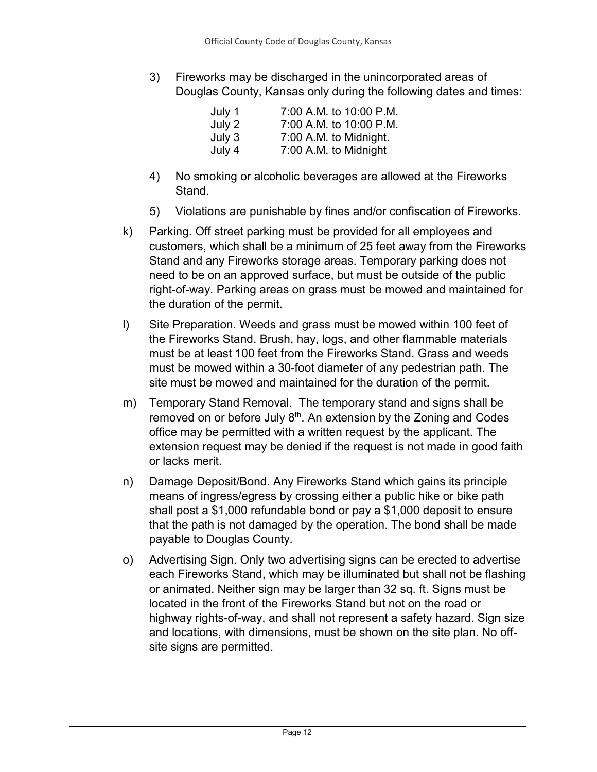3) Fireworks may be discharged in the unincorporated areas of Douglas County, Kansas only during the following dates and times:

| July 1 | 7:00 A.M. to 10:00 P.M. |
|--------|-------------------------|
| July 2 | 7:00 A.M. to 10:00 P.M. |
| July 3 | 7:00 A.M. to Midnight.  |
| July 4 | 7:00 A.M. to Midnight   |

- 4) No smoking or alcoholic beverages are allowed at the Fireworks Stand.
- 5) Violations are punishable by fines and/or confiscation of Fireworks.
- k) Parking. Off street parking must be provided for all employees and customers, which shall be a minimum of 25 feet away from the Fireworks Stand and any Fireworks storage areas. Temporary parking does not need to be on an approved surface, but must be outside of the public right-of-way. Parking areas on grass must be mowed and maintained for the duration of the permit.
- l) Site Preparation. Weeds and grass must be mowed within 100 feet of the Fireworks Stand. Brush, hay, logs, and other flammable materials must be at least 100 feet from the Fireworks Stand. Grass and weeds must be mowed within a 30-foot diameter of any pedestrian path. The site must be mowed and maintained for the duration of the permit.
- m) Temporary Stand Removal. The temporary stand and signs shall be removed on or before July 8<sup>th</sup>. An extension by the Zoning and Codes office may be permitted with a written request by the applicant. The extension request may be denied if the request is not made in good faith or lacks merit.
- n) Damage Deposit/Bond. Any Fireworks Stand which gains its principle means of ingress/egress by crossing either a public hike or bike path shall post a \$1,000 refundable bond or pay a \$1,000 deposit to ensure that the path is not damaged by the operation. The bond shall be made payable to Douglas County.
- o) Advertising Sign. Only two advertising signs can be erected to advertise each Fireworks Stand, which may be illuminated but shall not be flashing or animated. Neither sign may be larger than 32 sq. ft. Signs must be located in the front of the Fireworks Stand but not on the road or highway rights-of-way, and shall not represent a safety hazard. Sign size and locations, with dimensions, must be shown on the site plan. No offsite signs are permitted.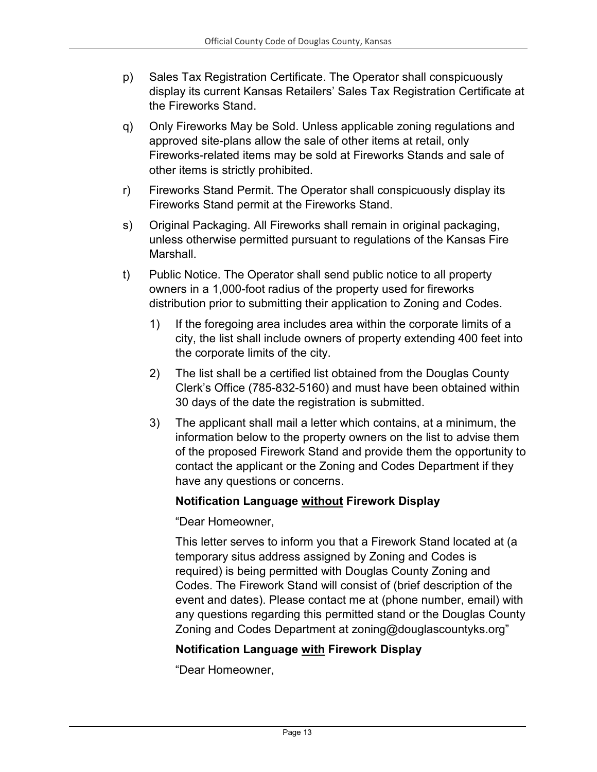- p) Sales Tax Registration Certificate. The Operator shall conspicuously display its current Kansas Retailers' Sales Tax Registration Certificate at the Fireworks Stand.
- q) Only Fireworks May be Sold. Unless applicable zoning regulations and approved site-plans allow the sale of other items at retail, only Fireworks-related items may be sold at Fireworks Stands and sale of other items is strictly prohibited.
- r) Fireworks Stand Permit. The Operator shall conspicuously display its Fireworks Stand permit at the Fireworks Stand.
- s) Original Packaging. All Fireworks shall remain in original packaging, unless otherwise permitted pursuant to regulations of the Kansas Fire **Marshall**
- t) Public Notice. The Operator shall send public notice to all property owners in a 1,000-foot radius of the property used for fireworks distribution prior to submitting their application to Zoning and Codes.
	- 1) If the foregoing area includes area within the corporate limits of a city, the list shall include owners of property extending 400 feet into the corporate limits of the city.
	- 2) The list shall be a certified list obtained from the Douglas County Clerk's Office (785-832-5160) and must have been obtained within 30 days of the date the registration is submitted.
	- 3) The applicant shall mail a letter which contains, at a minimum, the information below to the property owners on the list to advise them of the proposed Firework Stand and provide them the opportunity to contact the applicant or the Zoning and Codes Department if they have any questions or concerns.

### **Notification Language without Firework Display**

"Dear Homeowner,

This letter serves to inform you that a Firework Stand located at (a temporary situs address assigned by Zoning and Codes is required) is being permitted with Douglas County Zoning and Codes. The Firework Stand will consist of (brief description of the event and dates). Please contact me at (phone number, email) with any questions regarding this permitted stand or the Douglas County Zoning and Codes Department at zoning@douglascountyks.org"

### **Notification Language with Firework Display**

"Dear Homeowner,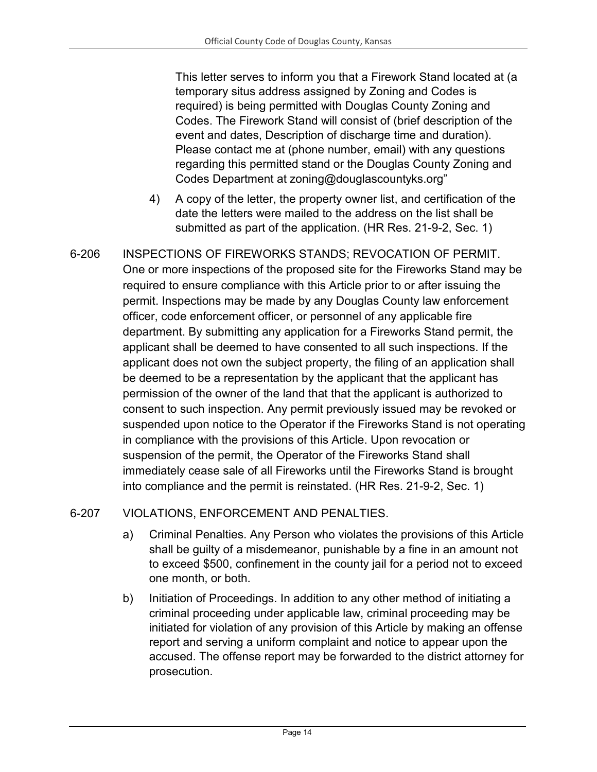This letter serves to inform you that a Firework Stand located at (a temporary situs address assigned by Zoning and Codes is required) is being permitted with Douglas County Zoning and Codes. The Firework Stand will consist of (brief description of the event and dates, Description of discharge time and duration). Please contact me at (phone number, email) with any questions regarding this permitted stand or the Douglas County Zoning and Codes Department at zoning@douglascountyks.org"

- 4) A copy of the letter, the property owner list, and certification of the date the letters were mailed to the address on the list shall be submitted as part of the application. (HR Res. 21-9-2, Sec. 1)
- 6-206 INSPECTIONS OF FIREWORKS STANDS; REVOCATION OF PERMIT. One or more inspections of the proposed site for the Fireworks Stand may be required to ensure compliance with this Article prior to or after issuing the permit. Inspections may be made by any Douglas County law enforcement officer, code enforcement officer, or personnel of any applicable fire department. By submitting any application for a Fireworks Stand permit, the applicant shall be deemed to have consented to all such inspections. If the applicant does not own the subject property, the filing of an application shall be deemed to be a representation by the applicant that the applicant has permission of the owner of the land that that the applicant is authorized to consent to such inspection. Any permit previously issued may be revoked or suspended upon notice to the Operator if the Fireworks Stand is not operating in compliance with the provisions of this Article. Upon revocation or suspension of the permit, the Operator of the Fireworks Stand shall immediately cease sale of all Fireworks until the Fireworks Stand is brought into compliance and the permit is reinstated. (HR Res. 21-9-2, Sec. 1)

## 6-207 VIOLATIONS, ENFORCEMENT AND PENALTIES.

- a) Criminal Penalties. Any Person who violates the provisions of this Article shall be guilty of a misdemeanor, punishable by a fine in an amount not to exceed \$500, confinement in the county jail for a period not to exceed one month, or both.
- b) Initiation of Proceedings. In addition to any other method of initiating a criminal proceeding under applicable law, criminal proceeding may be initiated for violation of any provision of this Article by making an offense report and serving a uniform complaint and notice to appear upon the accused. The offense report may be forwarded to the district attorney for prosecution.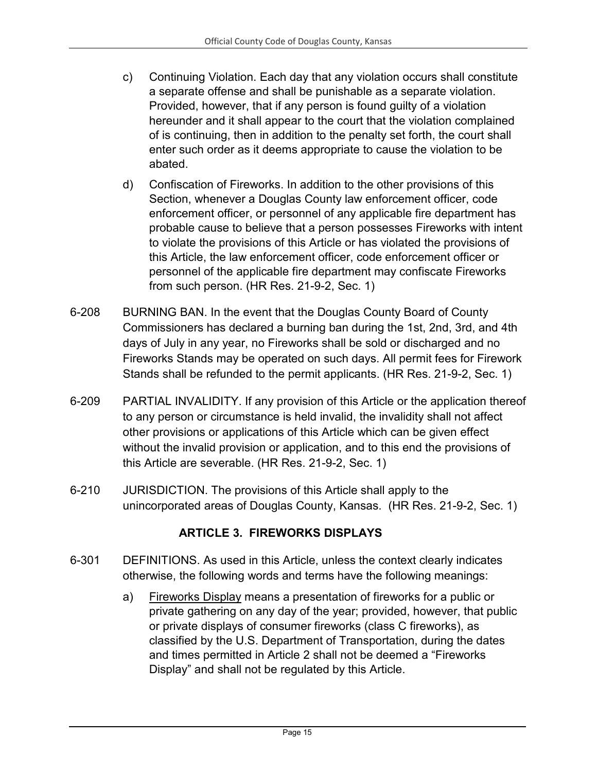- c) Continuing Violation. Each day that any violation occurs shall constitute a separate offense and shall be punishable as a separate violation. Provided, however, that if any person is found guilty of a violation hereunder and it shall appear to the court that the violation complained of is continuing, then in addition to the penalty set forth, the court shall enter such order as it deems appropriate to cause the violation to be abated.
- d) Confiscation of Fireworks. In addition to the other provisions of this Section, whenever a Douglas County law enforcement officer, code enforcement officer, or personnel of any applicable fire department has probable cause to believe that a person possesses Fireworks with intent to violate the provisions of this Article or has violated the provisions of this Article, the law enforcement officer, code enforcement officer or personnel of the applicable fire department may confiscate Fireworks from such person. (HR Res. 21-9-2, Sec. 1)
- 6-208 BURNING BAN. In the event that the Douglas County Board of County Commissioners has declared a burning ban during the 1st, 2nd, 3rd, and 4th days of July in any year, no Fireworks shall be sold or discharged and no Fireworks Stands may be operated on such days. All permit fees for Firework Stands shall be refunded to the permit applicants. (HR Res. 21-9-2, Sec. 1)
- 6-209 PARTIAL INVALIDITY. If any provision of this Article or the application thereof to any person or circumstance is held invalid, the invalidity shall not affect other provisions or applications of this Article which can be given effect without the invalid provision or application, and to this end the provisions of this Article are severable. (HR Res. 21-9-2, Sec. 1)
- 6-210 JURISDICTION. The provisions of this Article shall apply to the unincorporated areas of Douglas County, Kansas. (HR Res. 21-9-2, Sec. 1)

## **ARTICLE 3. FIREWORKS DISPLAYS**

- <span id="page-14-0"></span>6-301 DEFINITIONS. As used in this Article, unless the context clearly indicates otherwise, the following words and terms have the following meanings:
	- a) Fireworks Display means a presentation of fireworks for a public or private gathering on any day of the year; provided, however, that public or private displays of consumer fireworks (class C fireworks), as classified by the U.S. Department of Transportation, during the dates and times permitted in Article 2 shall not be deemed a "Fireworks Display" and shall not be regulated by this Article.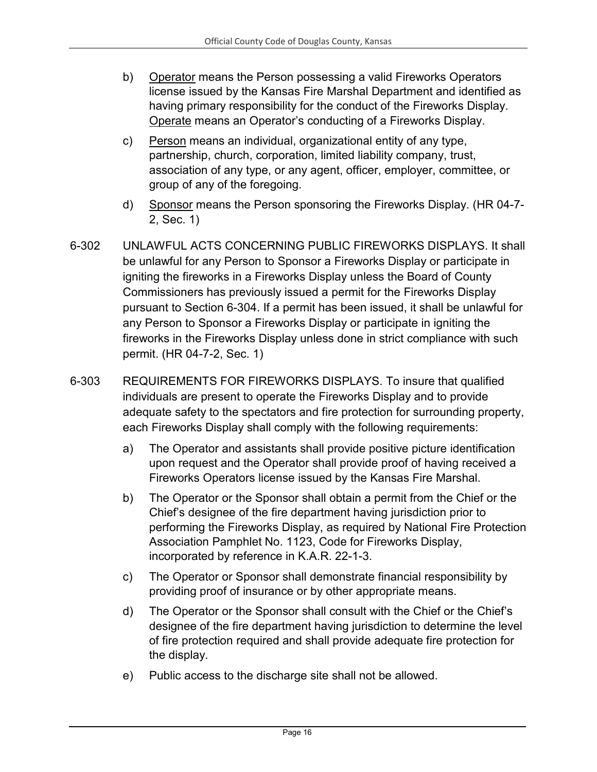- b) Operator means the Person possessing a valid Fireworks Operators license issued by the Kansas Fire Marshal Department and identified as having primary responsibility for the conduct of the Fireworks Display. Operate means an Operator's conducting of a Fireworks Display.
- c) Person means an individual, organizational entity of any type, partnership, church, corporation, limited liability company, trust, association of any type, or any agent, officer, employer, committee, or group of any of the foregoing.
- d) Sponsor means the Person sponsoring the Fireworks Display. (HR 04-7- 2, Sec. 1)
- 6-302 UNLAWFUL ACTS CONCERNING PUBLIC FIREWORKS DISPLAYS. It shall be unlawful for any Person to Sponsor a Fireworks Display or participate in igniting the fireworks in a Fireworks Display unless the Board of County Commissioners has previously issued a permit for the Fireworks Display pursuant to Section 6-304. If a permit has been issued, it shall be unlawful for any Person to Sponsor a Fireworks Display or participate in igniting the fireworks in the Fireworks Display unless done in strict compliance with such permit. (HR 04-7-2, Sec. 1)
- 6-303 REQUIREMENTS FOR FIREWORKS DISPLAYS. To insure that qualified individuals are present to operate the Fireworks Display and to provide adequate safety to the spectators and fire protection for surrounding property, each Fireworks Display shall comply with the following requirements:
	- a) The Operator and assistants shall provide positive picture identification upon request and the Operator shall provide proof of having received a Fireworks Operators license issued by the Kansas Fire Marshal.
	- b) The Operator or the Sponsor shall obtain a permit from the Chief or the Chief's designee of the fire department having jurisdiction prior to performing the Fireworks Display, as required by National Fire Protection Association Pamphlet No. 1123, Code for Fireworks Display, incorporated by reference in K.A.R. 22-1-3.
	- c) The Operator or Sponsor shall demonstrate financial responsibility by providing proof of insurance or by other appropriate means.
	- d) The Operator or the Sponsor shall consult with the Chief or the Chief's designee of the fire department having jurisdiction to determine the level of fire protection required and shall provide adequate fire protection for the display.
	- e) Public access to the discharge site shall not be allowed.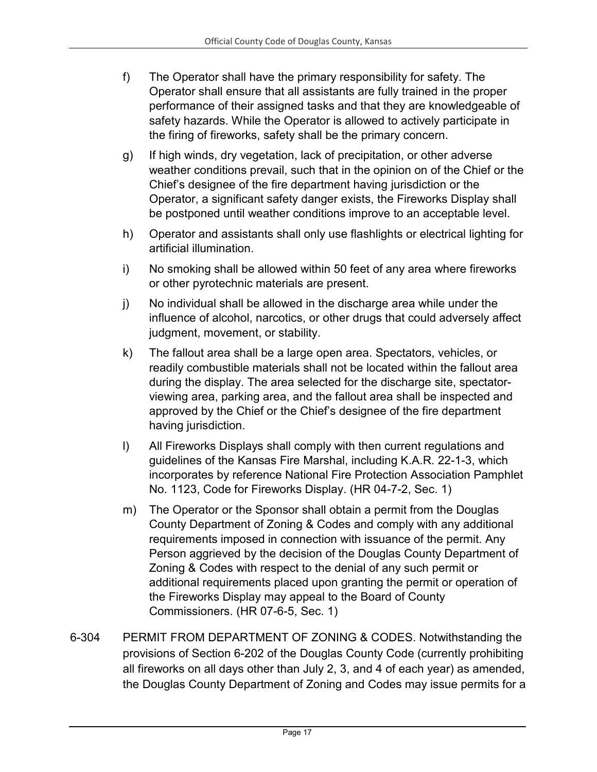- f) The Operator shall have the primary responsibility for safety. The Operator shall ensure that all assistants are fully trained in the proper performance of their assigned tasks and that they are knowledgeable of safety hazards. While the Operator is allowed to actively participate in the firing of fireworks, safety shall be the primary concern.
- g) If high winds, dry vegetation, lack of precipitation, or other adverse weather conditions prevail, such that in the opinion on of the Chief or the Chief's designee of the fire department having jurisdiction or the Operator, a significant safety danger exists, the Fireworks Display shall be postponed until weather conditions improve to an acceptable level.
- h) Operator and assistants shall only use flashlights or electrical lighting for artificial illumination.
- i) No smoking shall be allowed within 50 feet of any area where fireworks or other pyrotechnic materials are present.
- j) No individual shall be allowed in the discharge area while under the influence of alcohol, narcotics, or other drugs that could adversely affect judgment, movement, or stability.
- k) The fallout area shall be a large open area. Spectators, vehicles, or readily combustible materials shall not be located within the fallout area during the display. The area selected for the discharge site, spectatorviewing area, parking area, and the fallout area shall be inspected and approved by the Chief or the Chief's designee of the fire department having jurisdiction.
- l) All Fireworks Displays shall comply with then current regulations and guidelines of the Kansas Fire Marshal, including K.A.R. 22-1-3, which incorporates by reference National Fire Protection Association Pamphlet No. 1123, Code for Fireworks Display. (HR 04-7-2, Sec. 1)
- m) The Operator or the Sponsor shall obtain a permit from the Douglas County Department of Zoning & Codes and comply with any additional requirements imposed in connection with issuance of the permit. Any Person aggrieved by the decision of the Douglas County Department of Zoning & Codes with respect to the denial of any such permit or additional requirements placed upon granting the permit or operation of the Fireworks Display may appeal to the Board of County Commissioners. (HR 07-6-5, Sec. 1)
- 6-304 PERMIT FROM DEPARTMENT OF ZONING & CODES. Notwithstanding the provisions of Section 6-202 of the Douglas County Code (currently prohibiting all fireworks on all days other than July 2, 3, and 4 of each year) as amended, the Douglas County Department of Zoning and Codes may issue permits for a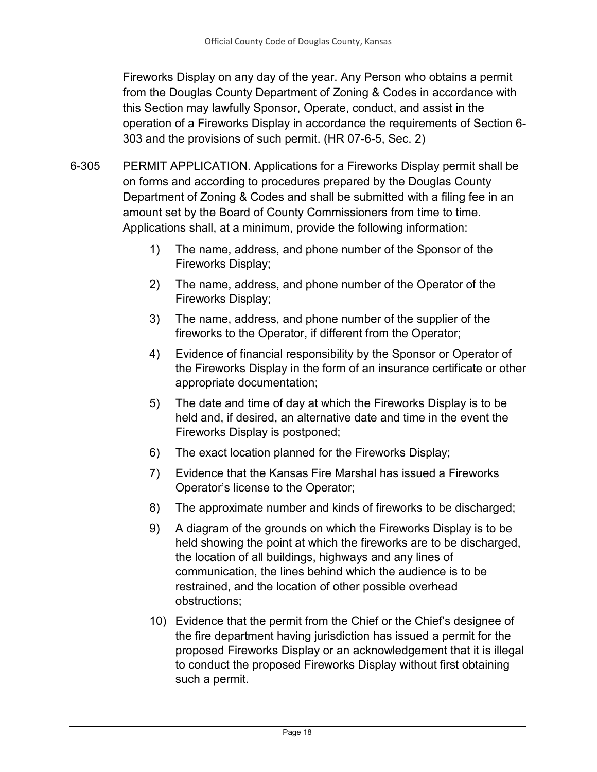Fireworks Display on any day of the year. Any Person who obtains a permit from the Douglas County Department of Zoning & Codes in accordance with this Section may lawfully Sponsor, Operate, conduct, and assist in the operation of a Fireworks Display in accordance the requirements of Section 6- 303 and the provisions of such permit. (HR 07-6-5, Sec. 2)

- 6-305 PERMIT APPLICATION. Applications for a Fireworks Display permit shall be on forms and according to procedures prepared by the Douglas County Department of Zoning & Codes and shall be submitted with a filing fee in an amount set by the Board of County Commissioners from time to time. Applications shall, at a minimum, provide the following information:
	- 1) The name, address, and phone number of the Sponsor of the Fireworks Display;
	- 2) The name, address, and phone number of the Operator of the Fireworks Display;
	- 3) The name, address, and phone number of the supplier of the fireworks to the Operator, if different from the Operator;
	- 4) Evidence of financial responsibility by the Sponsor or Operator of the Fireworks Display in the form of an insurance certificate or other appropriate documentation;
	- 5) The date and time of day at which the Fireworks Display is to be held and, if desired, an alternative date and time in the event the Fireworks Display is postponed;
	- 6) The exact location planned for the Fireworks Display;
	- 7) Evidence that the Kansas Fire Marshal has issued a Fireworks Operator's license to the Operator;
	- 8) The approximate number and kinds of fireworks to be discharged;
	- 9) A diagram of the grounds on which the Fireworks Display is to be held showing the point at which the fireworks are to be discharged, the location of all buildings, highways and any lines of communication, the lines behind which the audience is to be restrained, and the location of other possible overhead obstructions;
	- 10) Evidence that the permit from the Chief or the Chief's designee of the fire department having jurisdiction has issued a permit for the proposed Fireworks Display or an acknowledgement that it is illegal to conduct the proposed Fireworks Display without first obtaining such a permit.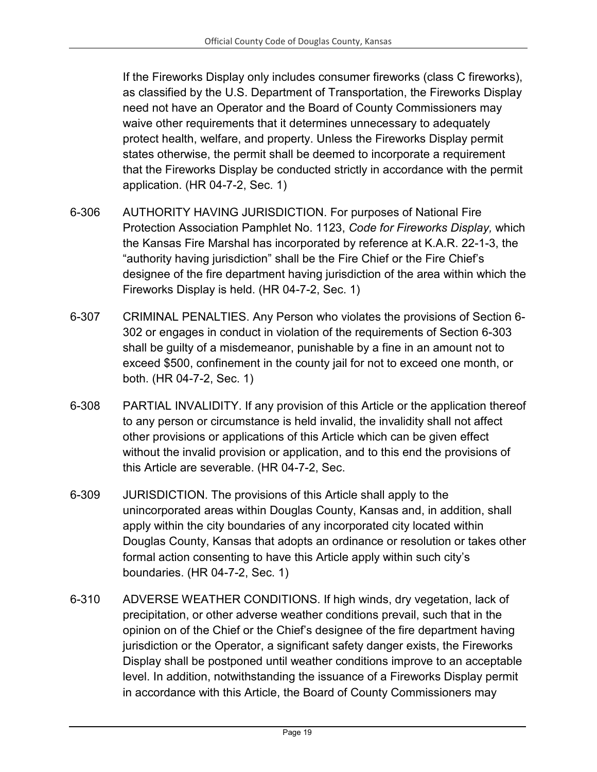If the Fireworks Display only includes consumer fireworks (class C fireworks), as classified by the U.S. Department of Transportation, the Fireworks Display need not have an Operator and the Board of County Commissioners may waive other requirements that it determines unnecessary to adequately protect health, welfare, and property. Unless the Fireworks Display permit states otherwise, the permit shall be deemed to incorporate a requirement that the Fireworks Display be conducted strictly in accordance with the permit application. (HR 04-7-2, Sec. 1)

- 6-306 AUTHORITY HAVING JURISDICTION. For purposes of National Fire Protection Association Pamphlet No. 1123, *Code for Fireworks Display,* which the Kansas Fire Marshal has incorporated by reference at K.A.R. 22-1-3, the "authority having jurisdiction" shall be the Fire Chief or the Fire Chief's designee of the fire department having jurisdiction of the area within which the Fireworks Display is held. (HR 04-7-2, Sec. 1)
- 6-307 CRIMINAL PENALTIES. Any Person who violates the provisions of Section 6- 302 or engages in conduct in violation of the requirements of Section 6-303 shall be guilty of a misdemeanor, punishable by a fine in an amount not to exceed \$500, confinement in the county jail for not to exceed one month, or both. (HR 04-7-2, Sec. 1)
- 6-308 PARTIAL INVALIDITY. If any provision of this Article or the application thereof to any person or circumstance is held invalid, the invalidity shall not affect other provisions or applications of this Article which can be given effect without the invalid provision or application, and to this end the provisions of this Article are severable. (HR 04-7-2, Sec.
- 6-309 JURISDICTION. The provisions of this Article shall apply to the unincorporated areas within Douglas County, Kansas and, in addition, shall apply within the city boundaries of any incorporated city located within Douglas County, Kansas that adopts an ordinance or resolution or takes other formal action consenting to have this Article apply within such city's boundaries. (HR 04-7-2, Sec. 1)
- 6-310 ADVERSE WEATHER CONDITIONS. If high winds, dry vegetation, lack of precipitation, or other adverse weather conditions prevail, such that in the opinion on of the Chief or the Chief's designee of the fire department having jurisdiction or the Operator, a significant safety danger exists, the Fireworks Display shall be postponed until weather conditions improve to an acceptable level. In addition, notwithstanding the issuance of a Fireworks Display permit in accordance with this Article, the Board of County Commissioners may